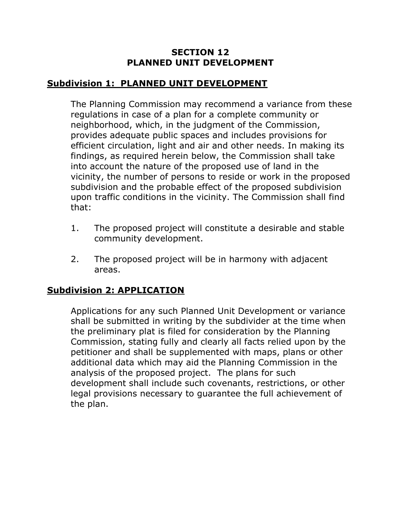## **SECTION 12 PLANNED UNIT DEVELOPMENT**

## **Subdivision 1: PLANNED UNIT DEVELOPMENT**

The Planning Commission may recommend a variance from these regulations in case of a plan for a complete community or neighborhood, which, in the judgment of the Commission, provides adequate public spaces and includes provisions for efficient circulation, light and air and other needs. In making its findings, as required herein below, the Commission shall take into account the nature of the proposed use of land in the vicinity, the number of persons to reside or work in the proposed subdivision and the probable effect of the proposed subdivision upon traffic conditions in the vicinity. The Commission shall find that:

- 1. The proposed project will constitute a desirable and stable community development.
- 2. The proposed project will be in harmony with adjacent areas.

## **Subdivision 2: APPLICATION**

Applications for any such Planned Unit Development or variance shall be submitted in writing by the subdivider at the time when the preliminary plat is filed for consideration by the Planning Commission, stating fully and clearly all facts relied upon by the petitioner and shall be supplemented with maps, plans or other additional data which may aid the Planning Commission in the analysis of the proposed project. The plans for such development shall include such covenants, restrictions, or other legal provisions necessary to guarantee the full achievement of the plan.